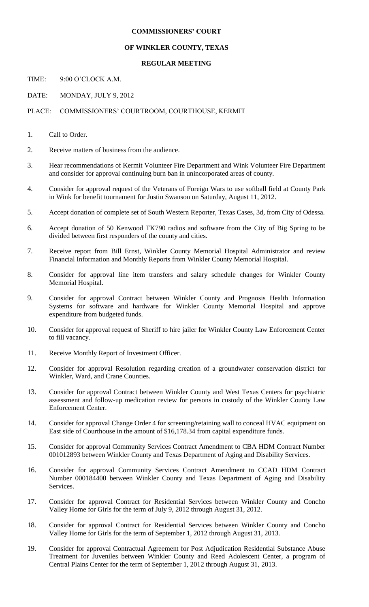## **COMMISSIONERS' COURT**

## **OF WINKLER COUNTY, TEXAS**

## **REGULAR MEETING**

TIME: 9:00 O'CLOCK A.M.

DATE: MONDAY, JULY 9, 2012

## PLACE: COMMISSIONERS' COURTROOM, COURTHOUSE, KERMIT

- 1. Call to Order.
- 2. Receive matters of business from the audience.
- 3. Hear recommendations of Kermit Volunteer Fire Department and Wink Volunteer Fire Department and consider for approval continuing burn ban in unincorporated areas of county.
- 4. Consider for approval request of the Veterans of Foreign Wars to use softball field at County Park in Wink for benefit tournament for Justin Swanson on Saturday, August 11, 2012.
- 5. Accept donation of complete set of South Western Reporter, Texas Cases, 3d, from City of Odessa.
- 6. Accept donation of 50 Kenwood TK790 radios and software from the City of Big Spring to be divided between first responders of the county and cities.
- 7. Receive report from Bill Ernst, Winkler County Memorial Hospital Administrator and review Financial Information and Monthly Reports from Winkler County Memorial Hospital.
- 8. Consider for approval line item transfers and salary schedule changes for Winkler County Memorial Hospital.
- 9. Consider for approval Contract between Winkler County and Prognosis Health Information Systems for software and hardware for Winkler County Memorial Hospital and approve expenditure from budgeted funds.
- 10. Consider for approval request of Sheriff to hire jailer for Winkler County Law Enforcement Center to fill vacancy.
- 11. Receive Monthly Report of Investment Officer.
- 12. Consider for approval Resolution regarding creation of a groundwater conservation district for Winkler, Ward, and Crane Counties.
- 13. Consider for approval Contract between Winkler County and West Texas Centers for psychiatric assessment and follow-up medication review for persons in custody of the Winkler County Law Enforcement Center.
- 14. Consider for approval Change Order 4 for screening/retaining wall to conceal HVAC equipment on East side of Courthouse in the amount of \$16,178.34 from capital expenditure funds.
- 15. Consider for approval Community Services Contract Amendment to CBA HDM Contract Number 001012893 between Winkler County and Texas Department of Aging and Disability Services.
- 16. Consider for approval Community Services Contract Amendment to CCAD HDM Contract Number 000184400 between Winkler County and Texas Department of Aging and Disability Services.
- 17. Consider for approval Contract for Residential Services between Winkler County and Concho Valley Home for Girls for the term of July 9, 2012 through August 31, 2012.
- 18. Consider for approval Contract for Residential Services between Winkler County and Concho Valley Home for Girls for the term of September 1, 2012 through August 31, 2013.
- 19. Consider for approval Contractual Agreement for Post Adjudication Residential Substance Abuse Treatment for Juveniles between Winkler County and Reed Adolescent Center, a program of Central Plains Center for the term of September 1, 2012 through August 31, 2013.